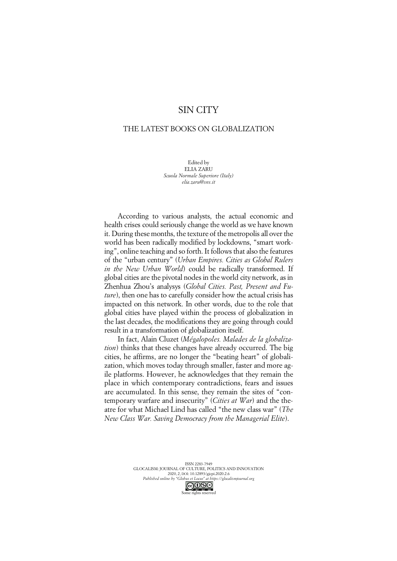## SIN CITY

## THE LATEST BOOKS ON GLOBALIZATION

Edited by ELIA ZARU *Scuola Normale Superiore (Italy) elia.zaru@sns.it*

According to various analysts, the actual economic and health crises could seriously change the world as we have known it. During these months, the texture of the metropolis all over the world has been radically modified by lockdowns, "smart working", online teaching and so forth. It follows that also the features of the "urban century" (*Urban Empires. Cities as Global Rulers in the New Urban World*) could be radically transformed. If global cities are the pivotal nodes in the world city network, as in Zhenhua Zhou's analysys (*Global Cities. Past, Present and Future*), then one has to carefully consider how the actual crisis has impacted on this network. In other words, due to the role that global cities have played within the process of globalization in the last decades, the modifications they are going through could result in a transformation of globalization itself.

In fact, Alain Cluzet (*Mégalopoles. Malades de la globalization*) thinks that these changes have already occurred. The big cities, he affirms, are no longer the "beating heart" of globalization, which moves today through smaller, faster and more agile platforms. However, he acknowledges that they remain the place in which contemporary contradictions, fears and issues are accumulated. In this sense, they remain the sites of "contemporary warfare and insecurity" (*Cities at War*) and the theatre for what Michael Lind has called "the new class war" (*The New Class War. Saving Democracy from the Managerial Elite*).

> ISSN 2283-7949 GLOCALISM: JOURNAL OF CULTURE, POLITICS AND INNOVATION 2020, 2, DOI: 10.12893/gjcpi.2020.2.6 *Published online by "Globus et Locus" at https://glocalismjournal.org*

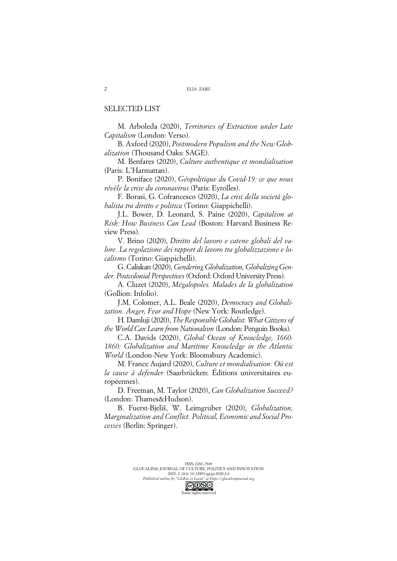## SELECTED LIST

M. Arboleda (2020), *Territories of Extraction under Late Capitalism* (London: Verso).

B. Axford (2020), *Postmodern Populism and the New Globalization* (Thousand Oaks: SAGE).

M. Benfares (2020), *Culture authentique et mondialisation* (Paris: L'Harmattan).

P. Boniface (2020), *Géopolitique du Covid-19: ce que nous révèle la crise du coronavirus* (Paris: Eyrolles).

F. Borasi, G. Cofrancesco (2020), *La crisi della società globalista tra diritto e politica* (Torino: Giappichelli).

J.L. Bower, D. Leonard, S. Paine (2020), *Capitalism at Risk: How Business Can Lead* (Boston: Harvard Business Review Press).

V. Brino (2020), *Diritto del lavoro e catene globali del valore. La regolazione dei rapport di lavoro tra globalizzazione e localismo* (Torino: Giappichelli).

G. Caliskan (2020), *Gendering Globalization, Globalizing Gender. Postcolonial Perspectives* (Oxford: Oxford University Press).

A. Cluzet (2020), *Mégalopoles. Malades de la globalization* (Gollion: Infolio).

J.M. Colomer, A.L. Beale (2020), *Democracy and Globalization. Anger, Fear and Hope* (New York: Routledge).

H. Damluji (2020), *The Responsible Globalist. What Citizens of the World Can Learn from Nationalism* (London: Penguin Books).

C.A. Davids (2020), *Global Ocean of Knowledge, 1660- 1860: Globalization and Maritime Knowledge in the Atlantic World* (London-New York: Bloomsbury Academic).

M. France Aujard (2020), *Culture et mondialisation: Où est la cause à defender* (Saarbrücken: Éditions universitaires européennes).

D. Freeman, M. Taylor (2020), *Can Globalization Succeed?* (London: Thames&Hudson).

B. Fuerst-Bjeliš, W. Leimgruber (2020), *Globalization, Marginalization and Conflict. Political, Economic and Social Processes* (Berlin: Springer).

Some rights reserved

2